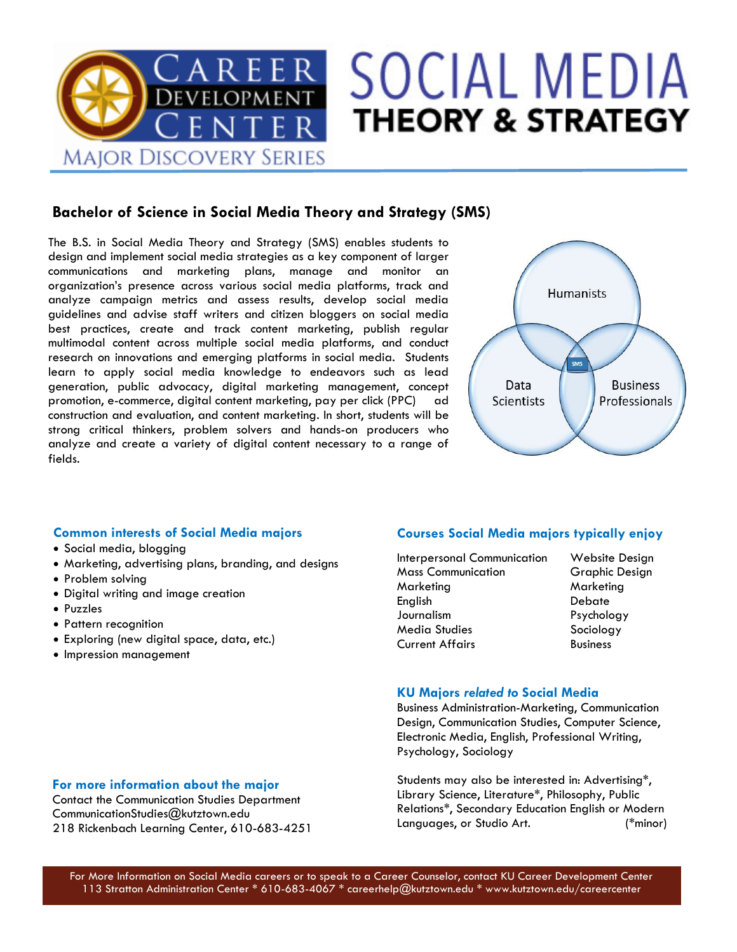

# **SOCIAL MEDIA THEORY & STRATEGY**

## **Bachelor of Science in Social Media Theory and Strategy (SMS)**

The B.S. in Social Media Theory and Strategy (SMS) enables students to design and implement social media strategies as a key component of larger communications and marketing plans, manage and monitor an organization's presence across various social media platforms, track and analyze campaign metrics and assess results, develop social media guidelines and advise staff writers and citizen bloggers on social media best practices, create and track content marketing, publish regular multimodal content across multiple social media platforms, and conduct research on innovations and emerging platforms in social media. Students learn to apply social media knowledge to endeavors such as lead generation, public advocacy, digital marketing management, concept promotion, e-commerce, digital content marketing, pay per click (PPC) ad construction and evaluation, and content marketing. In short, students will be strong critical thinkers, problem solvers and hands-on producers who analyze and create a variety of digital content necessary to a range of fields.



### **Common interests of Social Media majors**

- Social media, blogging
- Marketing, advertising plans, branding, and designs
- Problem solving
- Digital writing and image creation
- Puzzles
- Pattern recognition
- Exploring (new digital space, data, etc.)
- Impression management

### **Courses Social Media majors typically enjoy**

- Interpersonal Communication Website Design **Mass Communication** Graphic Design Marketing Marketing English Debate Journalism Psychology Media Studies Sociology Current Affairs **Business** 
	-

#### **KU Majors** *related to* **Social Media**

Business Administration-Marketing, Communication Design, Communication Studies, Computer Science, Electronic Media, English, Professional Writing, Psychology, Sociology

Students may also be interested in: Advertising\*, Library Science, Literature\*, Philosophy, Public Relations\*, Secondary Education English or Modern Languages, or Studio Art. (\*minor)

## **For more information about the major**

Contact the Communication Studies Department CommunicationStudies@kutztown.edu 218 Rickenbach Learning Center, 610-683-4251

For More Information on Social Media careers or to speak to a Career Counselor, contact KU Career Development Center 113 Stratton Administration Center \* 610-683-4067 \* careerhelp@kutztown.edu \* www.kutztown.edu/careercenter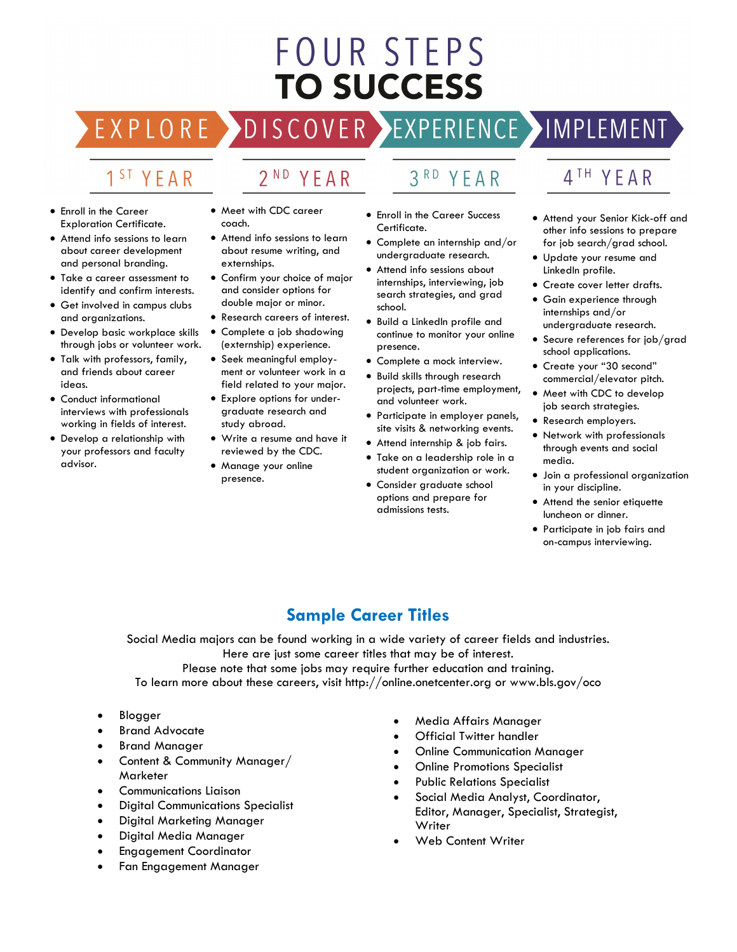# FOUR STEPS **TO SUCCESS**

### ISCOVER>  $\overline{D}$

2<sup>ND</sup> YEAR

# 1<sup>ST</sup> YEAR

 $FXPIO$ 

RE

- Enroll in the Career Exploration Certificate.
- Attend info sessions to learn about career development and personal branding.
- Take a career assessment to identify and confirm interests.
- Get involved in campus clubs and organizations.
- Develop basic workplace skills through jobs or volunteer work.
- Talk with professors, family, and friends about career ideas.
- Conduct informational interviews with professionals working in fields of interest.
- Develop a relationship with your professors and faculty advisor.
- Meet with CDC career coach.
- Attend info sessions to learn about resume writing, and externships.
- Confirm your choice of major and consider options for double major or minor.
- Research careers of interest.
- Complete a job shadowing (externship) experience.
- Seek meaningful employment or volunteer work in a field related to your major.
- Explore options for undergraduate research and study abroad.
- Write a resume and have it reviewed by the CDC.
- Manage your online presence.
- YEAR
- Enroll in the Career Success Certificate.
- Complete an internship and/or undergraduate research.
- Attend info sessions about internships, interviewing, job search strategies, and grad school.
- continue to monitor your online presence.
- Complete a mock interview.
- projects, part-time employment, and volunteer work.
- Participate in employer panels, site visits & networking events.
- Attend internship & job fairs.
- Take on a leadership role in a student organization or work.
- Consider graduate school options and prepare for admissions tests.

# 4TH YEAR

EXPERIENCE >IMPLEMENT

- Attend your Senior Kick-off and other info sessions to prepare for job search/grad school.
- Update your resume and LinkedIn profile.
- Create cover letter drafts.
- Gain experience through internships and/or undergraduate research.
- Secure references for job/grad school applications.
- Create your "30 second" commercial/elevator pitch.
- Meet with CDC to develop job search strategies.
- Research employers.
- Network with professionals through events and social media.
- Join a professional organization in your discipline.
- Attend the senior etiquette luncheon or dinner.
- Participate in job fairs and on-campus interviewing.

# **Sample Career Titles**

Social Media majors can be found working in a wide variety of career fields and industries. Here are just some career titles that may be of interest.

Please note that some jobs may require further education and training. To learn more about these careers, visit http://online.onetcenter.org or www.bls.gov/oco

- **Blogger**
- **Brand Advocate**
- Brand Manager
- Content & Community Manager/ Marketer
- Communications Liaison
- Digital Communications Specialist
- Digital Marketing Manager
- Digital Media Manager
- Engagement Coordinator
- Fan Engagement Manager
- Media Affairs Manager
- Official Twitter handler
- Online Communication Manager
- Online Promotions Specialist
- Public Relations Specialist
- Social Media Analyst, Coordinator, Editor, Manager, Specialist, Strategist, **Writer**
- Web Content Writer
- 
- 
- Build a LinkedIn profile and
- 
- Build skills through research
	-
- -
- 

# $3<sup>RD</sup>$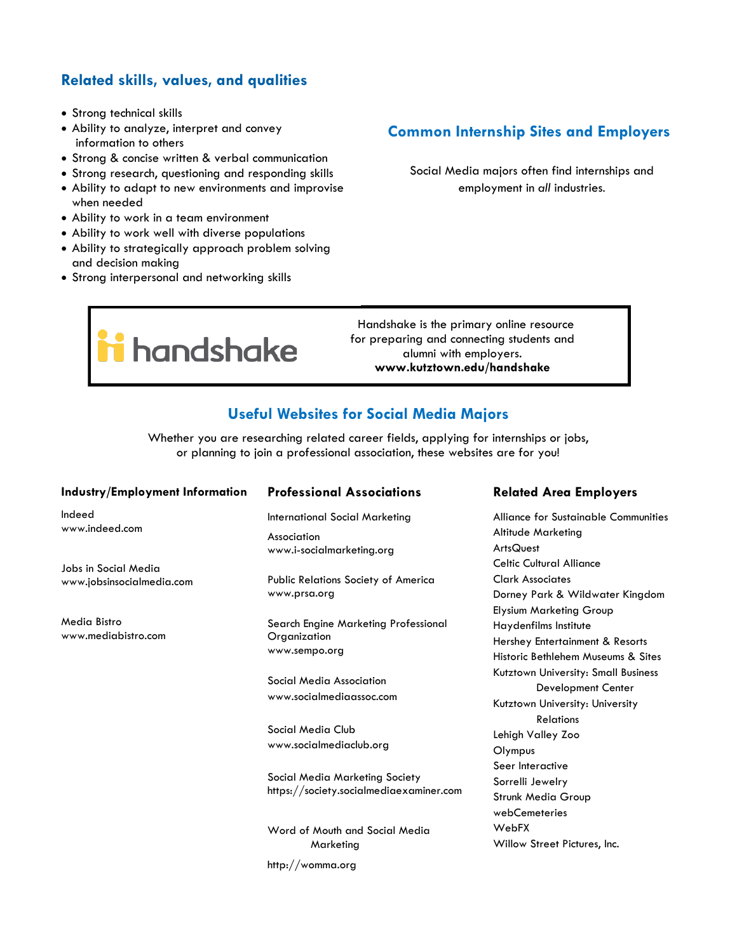## **Related skills, values, and qualities**

- Strong technical skills
- Ability to analyze, interpret and convey information to others
- Strong & concise written & verbal communication
- Strong research, questioning and responding skills
- Ability to adapt to new environments and improvise when needed
- Ability to work in a team environment
- Ability to work well with diverse populations
- Ability to strategically approach problem solving and decision making
- Strong interpersonal and networking skills

## **Common Internship Sites and Employers**

Social Media majors often find internships and employment in *all* industries.

**i** handshake

 Handshake is the primary online resource for preparing and connecting students and alumni with employers. **www.kutztown.edu/handshake**

# **Useful Websites for Social Media Majors**

Whether you are researching related career fields, applying for internships or jobs, or planning to join a professional association, these websites are for you!

#### **Industry/Employment Information**

Indeed www.indeed.com

Jobs in Social Media www.jobsinsocialmedia.com

Media Bistro www.mediabistro.com

#### **Professional Associations**

International Social Marketing Association www.i-socialmarketing.org

Public Relations Society of America www.prsa.org

Search Engine Marketing Professional **Organization** www.sempo.org

Social Media Association www.socialmediaassoc.com

Social Media Club www.socialmediaclub.org

Social Media Marketing Society https://society.socialmediaexaminer.com

Word of Mouth and Social Media **Marketing** http://womma.org

#### **Related Area Employers**

Alliance for Sustainable Communities Altitude Marketing **ArtsQuest** Celtic Cultural Alliance Clark Associates Dorney Park & Wildwater Kingdom Elysium Marketing Group Haydenfilms Institute Hershey Entertainment & Resorts Historic Bethlehem Museums & Sites Kutztown University: Small Business Development Center Kutztown University: University **Relations** Lehigh Valley Zoo **Olympus** Seer Interactive Sorrelli Jewelry Strunk Media Group webCemeteries WebFX Willow Street Pictures, Inc.